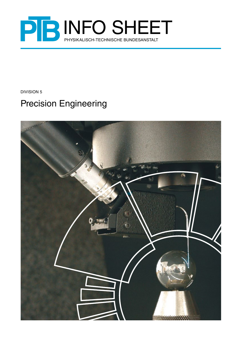

Division 5

# Precision Engineering

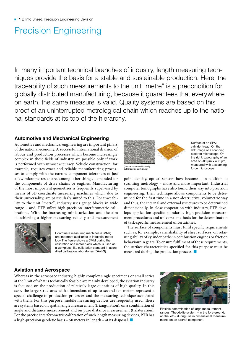# Precision Engineering

In many important technical branches of industry, length measuring techniques provide the basis for a stable and sustainable production. Here, the traceability of such measurements to the unit "metre" is a precondition for globally distributed manufacturing, because it guarantees that everywhere on earth, the same measure is valid. Quality systems are based on this proof of an uninterrupted metrological chain which reaches up to the national standards at its top of the hierarchy.

## **Automotive and Mechanical Engineering**

Automotive and mechanical engineering are important pillars of the national economy. A successful international division of labour and production processes which become increasingly complex in these fields of industry are possible only if work is performed with utmost accuracy. Vehicle construction, for example, requires exact and reliable manufacturing processes to comply with the narrow component tolerances of just a few micrometres as are, among other things, demanded for the components of drive chains or engines. Manufacturing of the most important geometries is frequently supervised by means of 3D coordinate measuring machines which, due to their universality, are particularly suited to this. For traceability to the unit "metre", industry uses gauge blocks in wide range – and, PTB offers high-precision interferometric calibrations. With the increasing miniaturization and the aim of achieving a higher measuring velocity and measurement



Coordinate measuring machines (CMMs) are important auxiliaries in industrial metrology.The figure shows a CMM during the calibration of a motor block which is used as a workpiece-like calibration standard in accredited calibration laboratories (DAkkS).



Surface of an Si/Al cylinder tread; On the left: image of a scanning electron microscope; On the right: topography of an area of 500 µm x 400 µm, measured with a scanning force microscope.

(source: Hannover University, authorized by Daimler AG)

point density, optical sensors have become – in addition to scanning metrology – more and more important. Industrial computer tomographs have also found their way into precision engineering. Their technique allows components to be determined for the first time in a non-destructive, volumetric way and thus, the internal and external structures to be determined dimensionally. In close cooperation with industry, PTB develops application-specific standards, high-precision measurement procedures and universal methods for the determination of task-specific measurement uncertainties.

The surface of components must fulfil specific requirements such as, for example, varnishability of sheet surfaces, oil retaining ability of cylinder paths in combustion engines or friction behaviour in gears. To ensure fulfilment of these requirements, the surface characteristics specified for this purpose must be measured during the production process.  $\blacksquare$ 

# **Aviation and Aerospace**

Whereas in the aerospace industry, highly complex single specimens or small series at the limit of what is technically feasible are mainly developed, the aviation industry is focussed on the production of relatively large quantities of high quality. In this case, the large structures with dimensions of up to several ten meters represent a special challenge to production processes and the measuring technique associated with them. For this purpose, mobile measuring devices are frequently used. These are systems based on spatial angle measurement (triangulation), on a combination of angle and distance measurement and on pure distance measurement (trilateration). For the precise interferometric calibration of such length measuring devices, PTB has a high-precision geodetic basis – 50 meters in length – at its disposal.  $\blacksquare$ 



Flexible determination of large measurement ranges: Theodolite system – in the fore-ground, on the left – during use in dimensional measurements on an aircraft component.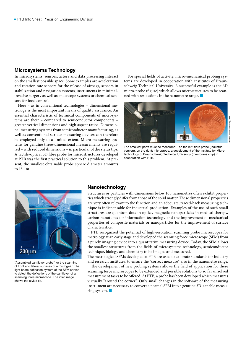## **Microsystems Technology**

In microsystems, sensors, actors and data processing interact on the smallest possible space. Some examples are acceleration and rotation rate sensors for the release of airbags, sensors in stabilization and navigation systems, instruments in minimalinvasive surgery as well as endoscope systems or chemical sensors for food control.

Here – as in conventional technologies – dimensional metrology is the most important means of quality assurance. An essential characteristic of technical components of microsystems are their – compared to semiconductor components – greater vertical dimensions and high aspect ratios. Dimensional measuring systems from semiconductor manufacturing, as well as conventional surface measuring devices can therefore be employed only to a limited extent. Micro-measuring systems for genuine three-dimensional measurements are required – with reduced dimensions – in particular of the stylus tips. A tactile-optical 3D fibre probe for microstructures developed at PTB was the first practical solution to this problem. At present, the smallest obtainable probe sphere diameter amounts to 15 µm.

For special fields of activity, micro-mechanical probing systems are developed in cooperation with institutes of Braunschweig Technical University. A successful example is the 3D micro-probe (figure) which allows microstructures to be scanned with resolutions in the nanometre range.  $\blacksquare$ 



The smallest parts must be measured – on the left: fibre probe (industrial version), on the right: microprobe, a development of the Institute for Microtechnology of Braunschweig Technical University (membrane chip) in cooperation with PTB.



"Assembled cantilever probe" for the scanning of front and lateral surfaces of a microgear. The light beam deflection system of the SFM serves to detect the deflections of the cantilever of a scanning force microscope. The inlet image shows the stylus tip.

### **Nanotechnology**

Structures or particles with dimensions below 100 nanometres often exhibit properties which strongly differ from those of the solid matter. These dimensional properties are very often relevant to the function and an adequate, traced-back measuring technique is indispensable for industrial production. Examples of the use of such small structures are quantum dots in optics, magnetic nanoparticles in medical therapy, carbon-nanotubes for information technology and the improvement of mechanical properties of composite materials or nanoparticles for the improvement of surface characteristics.

PTB recognized the potential of high-resolution scanning probe microscopes for metrology at an early stage and developed the scanning force microscope (SFM) from a purely imaging device into a quantitative measuring device. Today, the SFM allows the smallest structures from the fields of microsystems technology, semiconductor technique, biology and chemistry to be imaged and measured.

The metrological SFMs developed at PTB are used to calibrate standards for industry and research institutes, to ensure the "correct measure" also in the nanometre range.

The development of new probing systems allows the field of application for these scanning force microscopes to be extended and possible solutions to so far unsolved measurement tasks to be offered. At PTB, a probe has been developed which measures virtually "around the corner". Only small changes in the software of the measuring instrument are necessary to convert a normal SFM into a genuine 3D-capable measuring system.  $\blacksquare$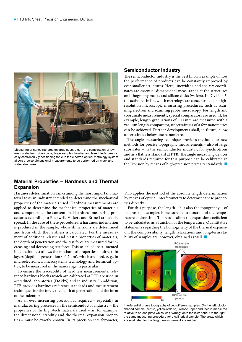

Measuring of nanostructures on large substrates – the combination of lowenergy electron microscope, large sample chamber and laserinterferometrically controlled x-y positioning table in the electron-optical metrology system allows precise dimensional measurements to be performed on mask and wafer structures.

# **Material Properties – Hardness and Thermal Expansion**

Hardness determination ranks among the most important material tests in industry intended to determine the mechanical properties of the materials used. Hardness measurements are applied to determine the mechanical properties of materials and components. The conventional hardness measuring procedures according to Rockwell, Vickers and Brinell are widely spread. In the case of these procedures, a hardness indentation is produced in the sample, whose dimensions are determined and from which the hardness is calculated. For the measurement of additional elastic and plastic properties of materials, the depth of penetration and the test force are measured for increasing and decreasing test force. This so-called instrumented indentation test allows the mechanical properties of ultra-thin layers (depth of penetration  $\leq 0.2 \,\mu$ m), which are used, e. g., in microelectronics, microsystems technology and technical optics, to be measured in the nanorange in particular.

To ensure the traceability of hardness measurements, reference hardness blocks which are calibrated at PTB are used in accredited laboratories (DAkkS) and in industry. In addition, PTB provides hardness reference standards and measurement techniques for the force, the depth of penetration and the form of the indentors.

As an ever increasing precision is required – especially in manufacturing processes in the semiconductor industry – the properties of the high-tech materials used – as, for example, the dimensional stability and the thermal expansion properties – must be exactly known. In its precision interferometer,

### **Semiconductor Industry**

The semiconductor industry is the best known example of how the performance of products can be constantly improved by ever smaller structures. Here, linewidths and the x-y coordinates are essential dimensional measurands at the structures on lithography masks and silicon disks (wafers). In Division 5, the activities in linewidth metrology are concentrated on highresolution microscopic measuring procedures, such as scanning electron and scanning probe microscopy. For length and coordinate measurements, special comparators are used. If, for example, length graduations of 300 mm are measured with a vacuum length comparator, uncertainties of a few nanometres can be achieved. Further developments shall, in future, allow uncertainties below one nanometre.

The angle measuring technique provides the basis for new methods for precise topography measurements – also of large substrates – in the semiconductor industry, for synchrotrons and as a flatness standard at PTB. The angle measuring devices and standards required for this purpose can be calibrated in the Division by means of high-precision primary standards.  $\blacksquare$ 

PTB applies the method of the absolute length determination by means of optical interferometry to determine these properties directly.

For this purpose, the length – but also the topography – of macroscopic samples is measured as a function of the temperature and/or time. The results allow the expansion coefficient to be calculated as a function of the temperature. Quantitative statements regarding the homogeneity of the thermal expansion, the compressibility, length relaxations and long-term stability of samples are, however, obtained as well.  $\blacksquare$ 



Interferential phase topography of two different samples. On the left: blockshaped sample (centre, yellow/reddish), whose upper end face is measured relative to an end plate which was "wrung" onto the lower end. On the right: the same measuring procedure for a cylindrical sample. The areas which are evaluated for the length measurement are marked.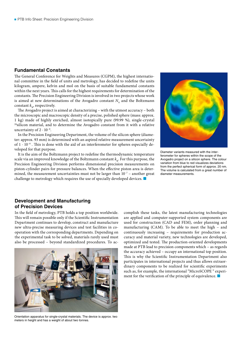## **Fundamental Constants**

The General Conference for Weights and Measures (CGPM), the highest international committee in the field of units and metrology, has decided to redefine the units kilogram, ampere, kelvin and mol on the basis of suitable fundamental constants within the next years. This calls for the highest requirements for determination of the constants. The Precision Engineering Division is involved in two projects whose work is aimed at new determinations of the Avogadro constant  $N_A$  and the Boltzmann constant  $k_{\nu}$ , respectively.

The Avogadro project is aimed at characterizing – with the utmost accuracy – both the microscopic and macroscopic density of a precise, polished sphere (mass: approx. 1 kg) made of highly enriched, almost isotopically pure (99.99 %), single-crystal <sup>28</sup>silicon material, and to determine the Avogadro constant from it with a relative uncertainty of  $2 \cdot 10^{-8}$ .

In the Precision Engineering Department, the volume of the silicon sphere (diameter: approx. 93 mm) is determined with an aspired relative measurement uncertainty of  $1 \cdot 10^{-8}$  . This is done with the aid of an interferometer for spheres especially developed for that purpose.

It is the aim of the Boltzmann project to redefine the thermodynamic temperature scale via an improved knowledge of the Boltzmann constant  $k_{\nu}$ . For this purpose, the Precision Engineering Division performs dimensional precision measurements on piston-cylinder pairs for pressure balances. When the effective piston area is determined, the measurement uncertainties must not be larger than  $10^{-7}$  – another great challenge to metrology which requires the use of specially developed devices.  $\blacksquare$ 



Diameter variants measured with the interferometer for spheres within the scope of the Avogadro project on a silicon sphere. The colour variation from blue to red visualizes deviations from the perfect spherical form of approx. 20 nm. The volume is calculated from a great number of diameter measurements.

# **Development and Manufacturing of Precision Devices**

In the field of metrology, PTB holds a top position worldwide. This will remain possible only if the Scientific Instrumentation Department continues to develop, construct and manufacture new ultra-precise measuring devices and test facilities in cooperation with the corresponding departments. Depending on the experimental task to be solved, materials rarely used must also be processed – beyond standardized procedures. To ac-



Orientation apparatus for single-crystal materials. The device is approx. two meters in height and has a weight of about two tonnes.

complish these tasks, the latest manufacturing technologies are applied and computer-supported system components are used for construction (CAD and FEM), order planning and manufacturing (CAM). To be able to meet the high – and continuously increasing – requirements for production accuracy and material variety, new technologies are developed, optimized and tested. The production-oriented developments made at PTB lead to precision components which – as regards the accuracy achieved – occupy an international top position. This is why the Scientific Instrumentation Department also participates in international projects and thus allows extraordinary components to be realized for scientific experiments such as, for example, the international "MicroSCOPE " experiment for the verification of the principle of equivalence.  $\blacksquare$